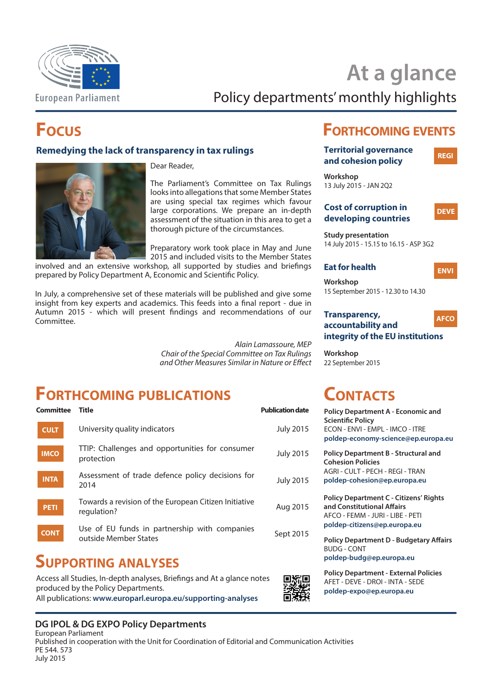

# **At a glance**

Policy departments' monthly highlights

## **Focus**

#### **Remedying the lack of transparency in tax rulings**

Dear Reader,



The Parliament's Committee on Tax Rulings looks into allegations that some Member States are using special tax regimes which favour large corporations. We prepare an in-depth assessment of the situation in this area to get a thorough picture of the circumstances.

Preparatory work took place in May and June 2015 and included visits to the Member States

involved and an extensive workshop, all supported by studies and briefings prepared by Policy Department A, Economic and Scientific Policy.

In July, a comprehensive set of these materials will be published and give some insight from key experts and academics. This feeds into a final report - due in Autumn 2015 - which will present findings and recommendations of our Committee.

> *Alain Lamassoure, MEP Chair of the Special Committee on Tax Rulings and Other Measures Similar in Nature or Effect*

## **Forthcoming publications**

| <b>Committee</b> | Title                                                                  | <b>Publication date</b> |
|------------------|------------------------------------------------------------------------|-------------------------|
| <b>CULT</b>      | University quality indicators                                          | <b>July 2015</b>        |
| <b>IMCO</b>      | TTIP: Challenges and opportunities for consumer<br>protection          | <b>July 2015</b>        |
| <b>INTA</b>      | Assessment of trade defence policy decisions for<br>2014               | <b>July 2015</b>        |
| <b>PETI</b>      | Towards a revision of the European Citizen Initiative<br>regulation?   | Aug 2015                |
| <b>CONT</b>      | Use of EU funds in partnership with companies<br>outside Member States | Sept 2015               |
|                  |                                                                        |                         |

## **Supporting analyses**

Access all Studies, In-depth analyses, Briefings and At a glance notes produced by the Policy Departments. All publications: **www.europarl.europa.eu/supporting-analyses**

### **DG IPOL & DG EXPO Policy Departments**

European Parliament Published in cooperation with the Unit for Coordination of Editorial and Communication Activities PE 544. 573 July 2015

## **Forthcoming events**

| <b>Territorial governance</b><br>and cohesion policy | <b>REGI</b> |
|------------------------------------------------------|-------------|
|                                                      |             |
| Workshop                                             |             |

13 July 2015 - JAN 2Q2

#### **Cost of corruption in developing countries**



**Study presentation** 14 July 2015 - 15.15 to 16.15 - ASP 3G2

## **Eat for health ENVI**

**Workshop** 15 September 2015 - 12.30 to 14.30

#### **Transparency, accountability and integrity of the EU institutions AFCO**

**Workshop** 22 September 2015

## **Contacts**

| <b>Policy Department A - Economic and</b> |
|-------------------------------------------|
| <b>Scientific Policy</b>                  |
| ECON - ENVI - EMPL - IMCO - ITRE          |
| poldep-economy-science@ep.europa.eu       |

**Policy Department B - Structural and Cohesion Policies** AGRI - CULT - PECH - REGI - TRAN **poldep-cohesion@ep.europa.eu**

**Policy Department C - Citizens' Rights and Constitutional Affairs** AFCO - FEMM - JURI - LIBE - PETI **poldep-citizens@ep.europa.eu**

**Policy Department D - Budgetary Affairs** BUDG - CONT **poldep-budg@ep.europa.eu**

**Policy Department - External Policies** AFET - DEVE - DROI - INTA - SEDE **poldep-expo@ep.europa.eu**